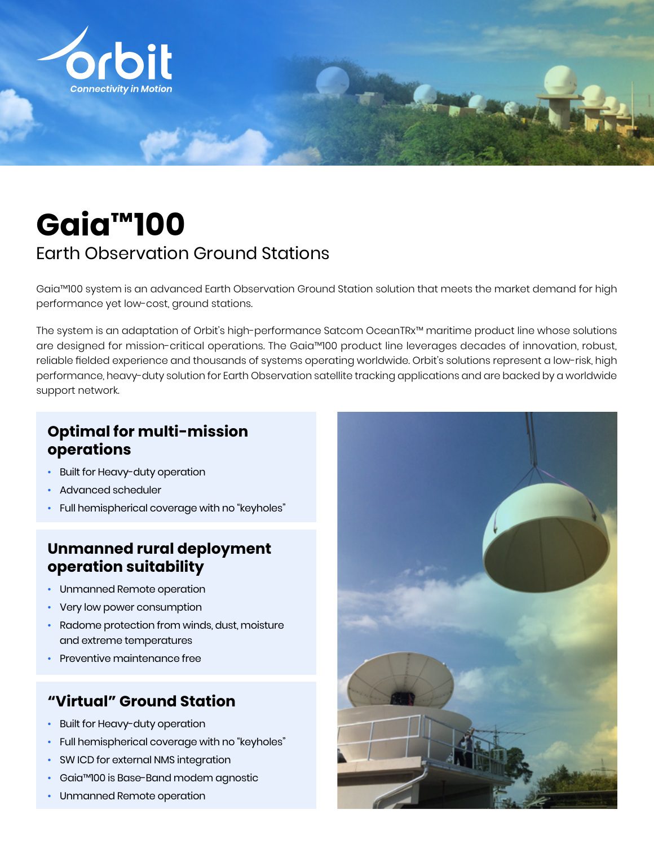

# **Gaia™100**

# Earth Observation Ground Stations

Gaia™100 system is an advanced Earth Observation Ground Station solution that meets the market demand for high performance yet low-cost, ground stations.

The system is an adaptation of Orbit's high-performance Satcom OceanTRx™ maritime product line whose solutions are designed for mission-critical operations. The Gaia™100 product line leverages decades of innovation, robust, reliable fielded experience and thousands of systems operating worldwide. Orbit's solutions represent a low-risk, high performance, heavy-duty solution for Earth Observation satellite tracking applications and are backed by a worldwide support network.

#### **Optimal for multi-mission operations**

- Built for Heavy-duty operation
- Advanced scheduler
- Full hemispherical coverage with no "keyholes"

## **Unmanned rural deployment operation suitability**

- Unmanned Remote operation
- Very low power consumption
- Radome protection from winds, dust, moisture and extreme temperatures
- Preventive maintenance free

#### **"Virtual" Ground Station**

- Built for Heavy-duty operation
- Full hemispherical coverage with no "keyholes"
- SW ICD for external NMS integration
- Gaia™100 is Base-Band modem agnostic
- Unmanned Remote operation